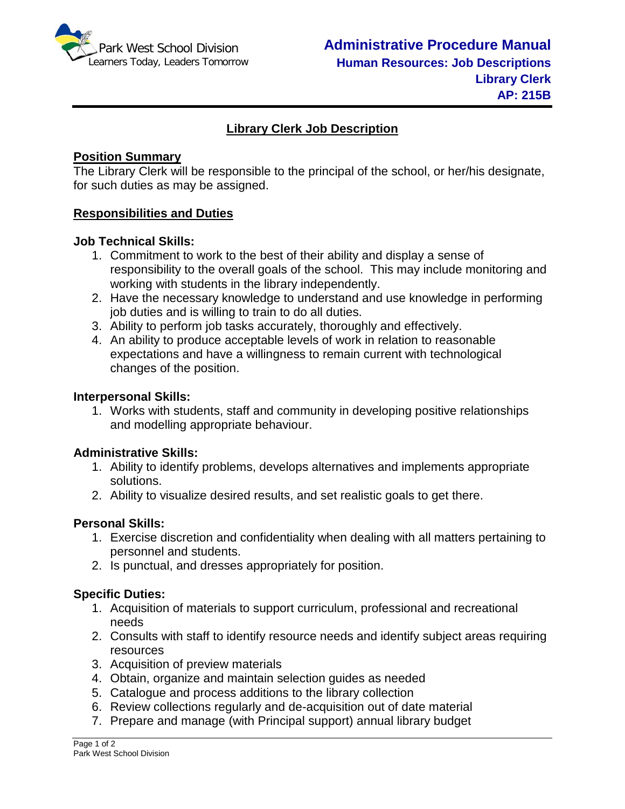

# **Library Clerk Job Description**

### **Position Summary**

The Library Clerk will be responsible to the principal of the school, or her/his designate, for such duties as may be assigned.

## **Responsibilities and Duties**

### **Job Technical Skills:**

- 1. Commitment to work to the best of their ability and display a sense of responsibility to the overall goals of the school. This may include monitoring and working with students in the library independently.
- 2. Have the necessary knowledge to understand and use knowledge in performing job duties and is willing to train to do all duties.
- 3. Ability to perform job tasks accurately, thoroughly and effectively.
- 4. An ability to produce acceptable levels of work in relation to reasonable expectations and have a willingness to remain current with technological changes of the position.

#### **Interpersonal Skills:**

1. Works with students, staff and community in developing positive relationships and modelling appropriate behaviour.

#### **Administrative Skills:**

- 1. Ability to identify problems, develops alternatives and implements appropriate solutions.
- 2. Ability to visualize desired results, and set realistic goals to get there.

#### **Personal Skills:**

- 1. Exercise discretion and confidentiality when dealing with all matters pertaining to personnel and students.
- 2. Is punctual, and dresses appropriately for position.

#### **Specific Duties:**

- 1. Acquisition of materials to support curriculum, professional and recreational needs
- 2. Consults with staff to identify resource needs and identify subject areas requiring resources
- 3. Acquisition of preview materials
- 4. Obtain, organize and maintain selection guides as needed
- 5. Catalogue and process additions to the library collection
- 6. Review collections regularly and de-acquisition out of date material
- 7. Prepare and manage (with Principal support) annual library budget